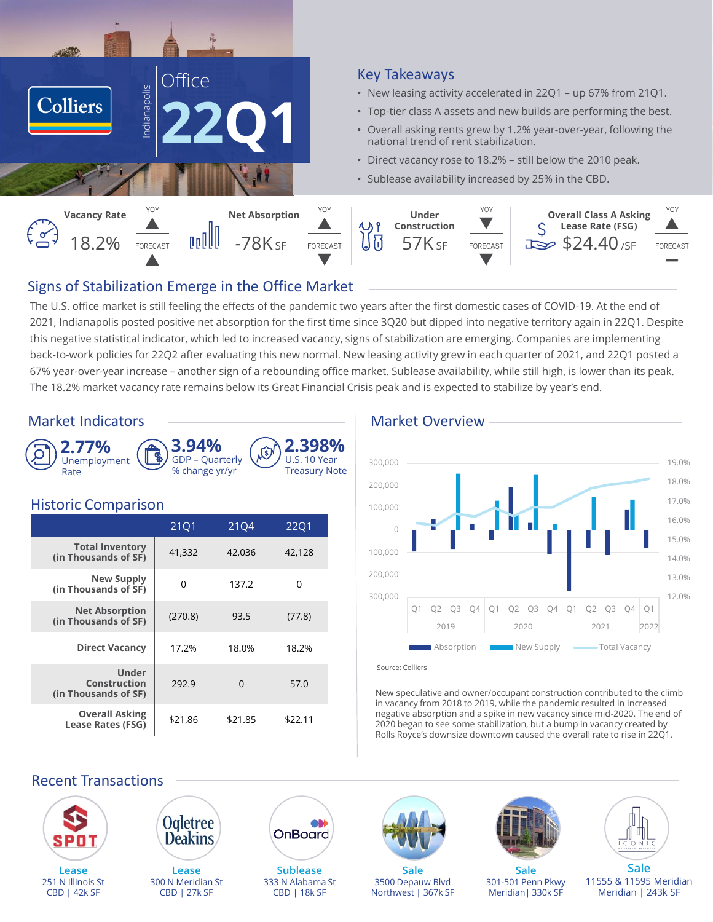

### Key Takeaways

- New leasing activity accelerated in 22Q1 up 67% from 21Q1.
- Top-tier class A assets and new builds are performing the best.
- Overall asking rents grew by 1.2% year-over-year, following the national trend of rent stabilization.
- Direct vacancy rose to 18.2% still below the 2010 peak.
- Sublease availability increased by 25% in the CBD.



# Signs of Stabilization Emerge in the Office Market

The U.S. office market is still feeling the effects of the pandemic two years after the first domestic cases of COVID-19. At the end of 2021, Indianapolis posted positive net absorption for the first time since 3Q20 but dipped into negative territory again in 22Q1. Despite this negative statistical indicator, which led to increased vacancy, signs of stabilization are emerging. Companies are implementing back-to-work policies for 22Q2 after evaluating this new normal. New leasing activity grew in each quarter of 2021, and 22Q1 posted a 67% year-over-year increase – another sign of a rebounding office market. Sublease availability, while still high, is lower than its peak. The 18.2% market vacancy rate remains below its Great Financial Crisis peak and is expected to stabilize by year's end.

### Market Indicators **Market Overview** Market Overview



# Historic Comparison

CBD | 42k SF

| <b>THURSTIC COMPUTION</b>                            |         |          |             |  |  |  |  |
|------------------------------------------------------|---------|----------|-------------|--|--|--|--|
|                                                      | 2101    | 2104     | <b>2201</b> |  |  |  |  |
| <b>Total Inventory</b><br>(in Thousands of SF)       | 41,332  | 42,036   | 42,128      |  |  |  |  |
| New Supply<br>(in Thousands of SF)                   | O       | 137.2    | O           |  |  |  |  |
| <b>Net Absorption</b><br>(in Thousands of SF)        | (270.8) | 93.5     | (77.8)      |  |  |  |  |
| <b>Direct Vacancy</b>                                | 17.2%   | 18.0%    | 18.2%       |  |  |  |  |
| <b>Under</b><br>Construction<br>(in Thousands of SF) | 292.9   | $\Omega$ | 57.0        |  |  |  |  |
| <b>Overall Asking</b><br><b>Lease Rates (FSG)</b>    | \$21.86 | \$21.85  | \$22.11     |  |  |  |  |

CBD | 27k SF



#### Source: Colliers

Northwest | 367k SF

New speculative and owner/occupant construction contributed to the climb in vacancy from 2018 to 2019, while the pandemic resulted in increased negative absorption and a spike in new vacancy since mid-2020. The end of 2020 began to see some stabilization, but a bump in vacancy created by Rolls Royce's downsize downtown caused the overall rate to rise in 22Q1.

Meridian| 330k SF



CBD | 18k SF

11555 & 11595 Meridian Meridian | 243k SF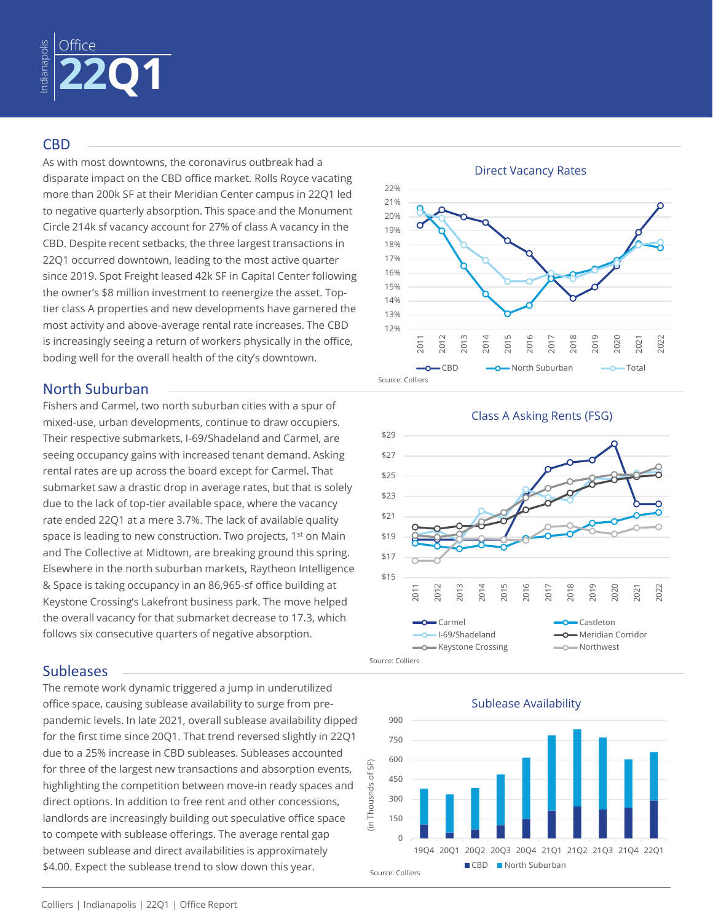

### **CBD**

As with most downtowns, the coronavirus outbreak had a disparate impact on the CBD office market. Rolls Royce vacating more than 200k SF at their Meridian Center campus in 22Q1 led to negative quarterly absorption. This space and the Monument Circle 214k sf vacancy account for 27% of class A vacancy in the CBD. Despite recent setbacks, the three largest transactions in 22Q1 occurred downtown, leading to the most active quarter since 2019. Spot Freight leased 42k SF in Capital Center following the owner's \$8 million investment to reenergize the asset. Toptier class A properties and new developments have garnered the most activity and above-average rental rate increases. The CBD is increasingly seeing a return of workers physically in the office, boding well for the overall health of the city's downtown.

# North Suburban

Fishers and Carmel, two north suburban cities with a spur of mixed-use, urban developments, continue to draw occupiers. Their respective submarkets, I-69/Shadeland and Carmel, are seeing occupancy gains with increased tenant demand. Asking rental rates are up across the board except for Carmel. That submarket saw a drastic drop in average rates, but that is solely due to the lack of top-tier available space, where the vacancy rate ended 22Q1 at a mere 3.7%. The lack of available quality space is leading to new construction. Two projects, 1st on Main and The Collective at Midtown, are breaking ground this spring. Elsewhere in the north suburban markets, Raytheon Intelligence & Space is taking occupancy in an 86,965-sf office building at Keystone Crossing's Lakefront business park. The move helped the overall vacancy for that submarket decrease to 17.3, which follows six consecutive quarters of negative absorption.

### **Subleases**

The remote work dynamic triggered a jump in underutilized office space, causing sublease availability to surge from prepandemic levels. In late 2021, overall sublease availability dipped for the first time since 20Q1. That trend reversed slightly in 22Q1 due to a 25% increase in CBD subleases. Subleases accounted for three of the largest new transactions and absorption events, highlighting the competition between move-in ready spaces and direct options. In addition to free rent and other concessions, landlords are increasingly building out speculative office space to compete with sublease offerings. The average rental gap between sublease and direct availabilities is approximately \$4.00. Expect the sublease trend to slow down this year.







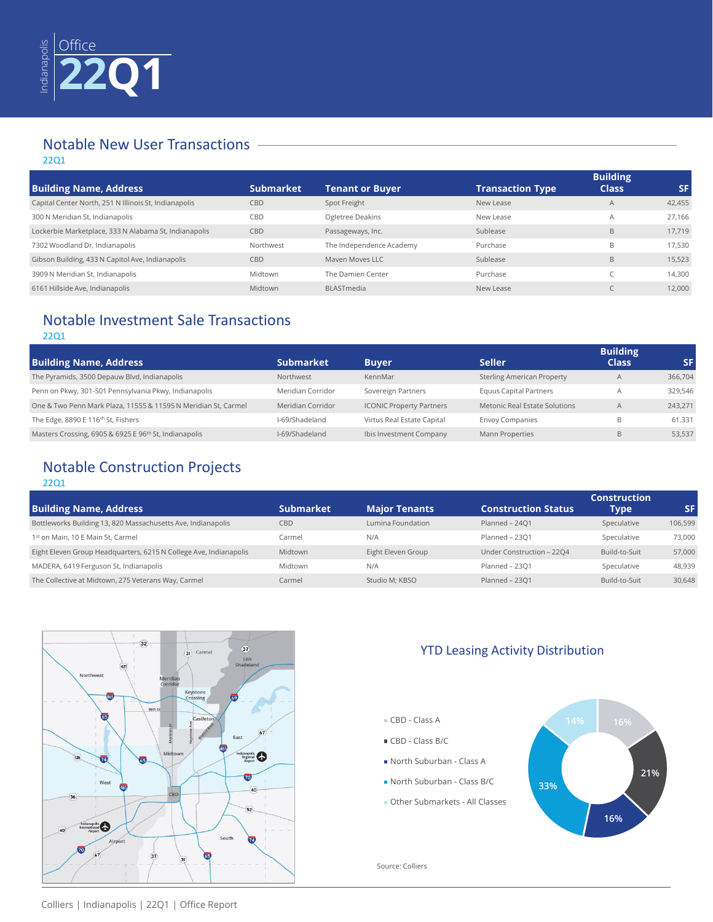

# Notable New User Transactions

#### 22Q1

|                                                       |                  |                          |                         | <b>Building</b> |           |
|-------------------------------------------------------|------------------|--------------------------|-------------------------|-----------------|-----------|
| <b>Building Name, Address</b>                         | <b>Submarket</b> | <b>Tenant or Buyer</b>   | <b>Transaction Type</b> | <b>Class</b>    | <b>SF</b> |
| Capital Center North, 251 N Illinois St, Indianapolis | CBD              | Spot Freight             | New Lease               | A               | 42,455    |
| 300 N Meridian St, Indianapolis                       | CBD              | Ogletree Deakins         | New Lease               | $\overline{A}$  | 27.166    |
| Lockerbie Marketplace, 333 N Alabama St, Indianapolis | CBD              | Passageways, Inc.        | Sublease                | B               | 17.719    |
| 7302 Woodland Dr, Indianapolis                        | Northwest        | The Independence Academy | Purchase                | B               | 17,530    |
| Gibson Building, 433 N Capitol Ave, Indianapolis      | CBD              | Mayen Moves LLC          | Sublease                | B               | 15,523    |
| 3909 N Meridian St, Indianapolis                      | Midtown          | The Damien Center        | Purchase                |                 | 14,300    |
| 6161 Hillside Ave, Indianapolis                       | Midtown          | <b>BLASTmedia</b>        | New Lease               |                 | 12,000    |

# Notable Investment Sale Transactions

#### 22Q1

| <b>Building Name, Address</b>                                  | <b>Submarket</b>  | <b>Buyer</b>                    | <b>Seller</b>                     | <b>Building</b><br><b>Class</b> | SF.     |
|----------------------------------------------------------------|-------------------|---------------------------------|-----------------------------------|---------------------------------|---------|
| The Pyramids, 3500 Depauw Blvd, Indianapolis                   | Northwest         | KennMar                         | <b>Sterling American Property</b> | A                               | 366,704 |
| Penn on Pkwy, 301-501 Pennsylvania Pkwy, Indianapolis          | Meridian Corridor | Sovereign Partners              | <b>Equus Capital Partners</b>     |                                 | 329,546 |
| One & Two Penn Mark Plaza, 11555 & 11595 N Meridian St, Carmel | Meridian Corridor | <b>ICONIC Property Partners</b> | Metonic Real Estate Solutions     |                                 | 243.271 |
| The Edge, 8890 E 116th St, Fishers                             | I-69/Shadeland    | Virtus Real Estate Capital      | <b>Envoy Companies</b>            | B                               | 61.331  |
| Masters Crossing, 6905 & 6925 E 96th St, Indianapolis          | I-69/Shadeland    | Ibis Investment Company         | <b>Mann Properties</b>            | B                               | 53,537  |

# Notable Construction Projects

#### 22Q1

|                                                                   |                  |                      |                            | <b>Construction</b> |         |
|-------------------------------------------------------------------|------------------|----------------------|----------------------------|---------------------|---------|
| <b>Building Name, Address</b>                                     | <b>Submarket</b> | <b>Major Tenants</b> | <b>Construction Status</b> | Type                | SF      |
| Bottleworks Building 13, 820 Massachusetts Ave, Indianapolis      | CBD              | Lumina Foundation    | Planned - 2401             | Speculative         | 106,599 |
| 1st on Main, 10 E Main St, Carmel                                 | Carmel           | N/A                  | Planned - 2301             | Speculative         | 73,000  |
| Eight Eleven Group Headquarters, 6215 N College Ave, Indianapolis | Midtown          | Eight Eleven Group   | Under Construction - 2204  | Build-to-Suit       | 57,000  |
| MADERA, 6419 Ferguson St, Indianapolis                            | Midtown          | N/A                  | Planned - 2301             | Speculative         | 48,939  |
| The Collective at Midtown, 275 Veterans Way, Carmel               | Carmel           | Studio M: KBSO       | Planned - 2301             | Build-to-Suit       | 30,648  |



## YTD Leasing Activity Distribution

- CBD Class A
- CBD Class B/C
- North Suburban Class A
- North Suburban Class B/C
- Other Submarkets All Classes



Source: Colliers